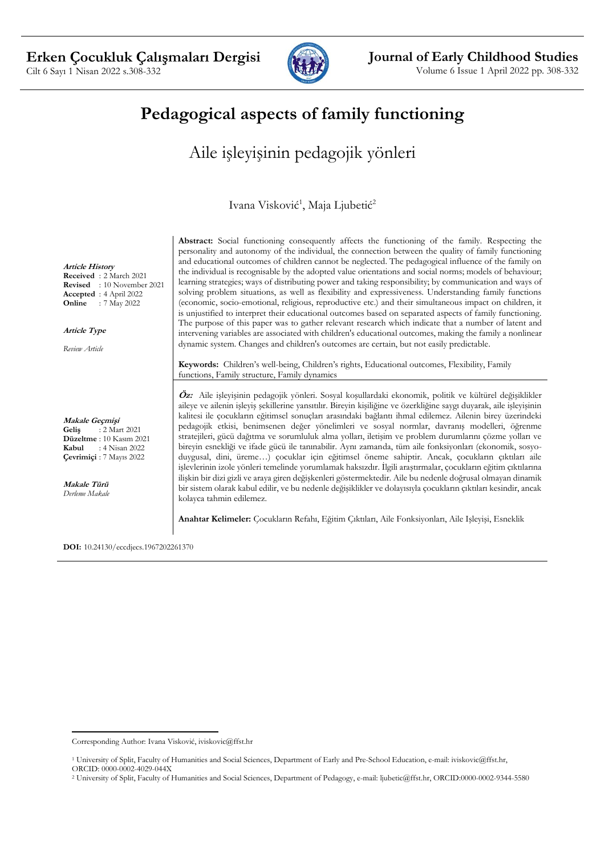

# **Pedagogical aspects of family functioning**

# Aile işleyişinin pedagojik yönleri

Ivana Visković<sup>1</sup>, Maja Ljubetić<sup>2</sup>

**Abstract:** Social functioning consequently affects the functioning of the family. Respecting the personality and autonomy of the individual, the connection between the quality of family functioning and educational outcomes of children cannot be neglected. The pedagogical influence of the family on the individual is recognisable by the adopted value orientations and social norms; models of behaviour; learning strategies; ways of distributing power and taking responsibility; by communication and ways of solving problem situations, as well as flexibility and expressiveness. Understanding family functions (economic, socio-emotional, religious, reproductive etc.) and their simultaneous impact on children, it is unjustified to interpret their educational outcomes based on separated aspects of family functioning. The purpose of this paper was to gather relevant research which indicate that a number of latent and intervening variables are associated with children's educational outcomes, making the family a nonlinear dynamic system. Changes and children's outcomes are certain, but not easily predictable.

**Keywords:** Children's well-being, Children's rights, Educational outcomes, Flexibility, Family functions, Family structure, Family dynamics

**Öz:** Aile işleyişinin pedagojik yönleri. Sosyal koşullardaki ekonomik, politik ve kültürel değişiklikler aileye ve ailenin işleyiş şekillerine yansıtılır. Bireyin kişiliğine ve özerkliğine saygı duyarak, aile işleyişinin kalitesi ile çocukların eğitimsel sonuçları arasındaki bağlantı ihmal edilemez. Ailenin birey üzerindeki pedagojik etkisi, benimsenen değer yönelimleri ve sosyal normlar, davranış modelleri, öğrenme stratejileri, gücü dağıtma ve sorumluluk alma yolları, iletişim ve problem durumlarını çözme yolları ve bireyin esnekliği ve ifade gücü ile tanınabilir. Aynı zamanda, tüm aile fonksiyonları (ekonomik, sosyoduygusal, dini, üreme…) çocuklar için eğitimsel öneme sahiptir. Ancak, çocukların çıktıları aile işlevlerinin izole yönleri temelinde yorumlamak haksızdır. İlgili araştırmalar, çocukların eğitim çıktılarına ilişkin bir dizi gizli ve araya giren değişkenleri göstermektedir. Aile bu nedenle doğrusal olmayan dinamik bir sistem olarak kabul edilir, ve bu nedenle değişiklikler ve dolayısıyla çocukların çıktıları kesindir, ancak kolayca tahmin edilemez.

**Anahtar Kelimeler:** Çocukların Refahı, Eğitim Çıktıları, Aile Fonksiyonları, Aile Işleyişi, Esneklik

**DOI:** 10.24130/eccdjecs.1967202261370

**Article History Received** : 2 March 2021 **Revised** : 10 November 2021 **Accepted** : 4 April 2022 **Online** : 7 May 2022

**Article Type**

*Review Article*

**Makale Geçmişi Geliş** : 2 Mart 2021 **Düzeltme** : 10 Kasım 2021 **Kabul** : 4 Nisan 2022 **Çevrimiçi** : 7 Mayıs 2022

**Makale Türü** *Derleme Makale*

Corresponding Author: Ivana Visković, iviskovic@ffst.hr

<sup>1</sup> University of Split, Faculty of Humanities and Social Sciences, Department of Early and Pre-School Education, e-mail: iviskovic@ffst.hr, ORCID: 0000-0002-4029-044X

<sup>2</sup> University of Split, Faculty of Humanities and Social Sciences, Department of Pedagogy, e-mail: ljubetic@ffst.hr, ORCID:0000-0002-9344-5580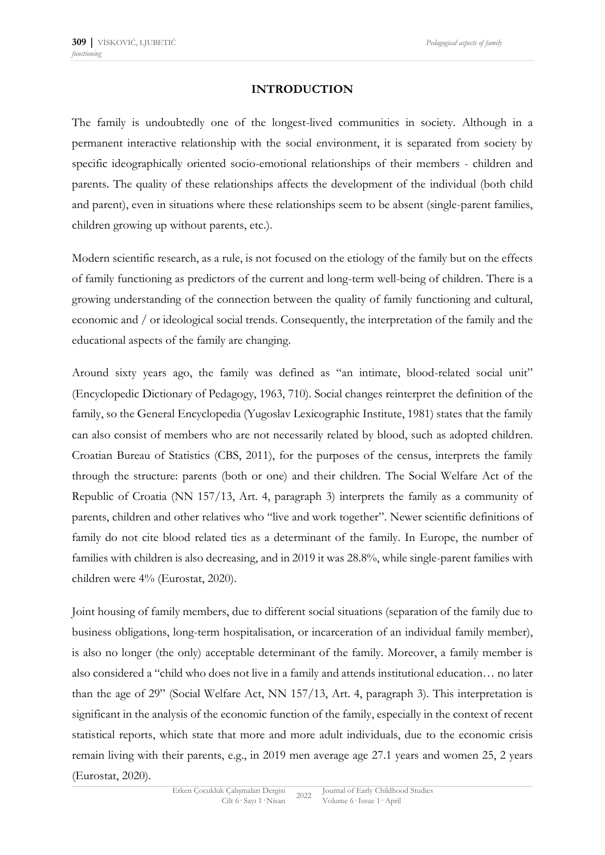# **INTRODUCTION**

The family is undoubtedly one of the longest-lived communities in society. Although in a permanent interactive relationship with the social environment, it is separated from society by specific ideographically oriented socio-emotional relationships of their members - children and parents. The quality of these relationships affects the development of the individual (both child and parent), even in situations where these relationships seem to be absent (single-parent families, children growing up without parents, etc.).

Modern scientific research, as a rule, is not focused on the etiology of the family but on the effects of family functioning as predictors of the current and long-term well-being of children. There is a growing understanding of the connection between the quality of family functioning and cultural, economic and / or ideological social trends. Consequently, the interpretation of the family and the educational aspects of the family are changing.

Around sixty years ago, the family was defined as "an intimate, blood-related social unit" (Encyclopedic Dictionary of Pedagogy, 1963, 710). Social changes reinterpret the definition of the family, so the General Encyclopedia (Yugoslav Lexicographic Institute, 1981) states that the family can also consist of members who are not necessarily related by blood, such as adopted children. Croatian Bureau of Statistics (CBS, 2011), for the purposes of the census, interprets the family through the structure: parents (both or one) and their children. The Social Welfare Act of the Republic of Croatia (NN 157/13, Art. 4, paragraph 3) interprets the family as a community of parents, children and other relatives who "live and work together". Newer scientific definitions of family do not cite blood related ties as a determinant of the family. In Europe, the number of families with children is also decreasing, and in 2019 it was 28.8%, while single-parent families with children were 4% (Eurostat, 2020).

Joint housing of family members, due to different social situations (separation of the family due to business obligations, long-term hospitalisation, or incarceration of an individual family member), is also no longer (the only) acceptable determinant of the family. Moreover, a family member is also considered a "child who does not live in a family and attends institutional education… no later than the age of 29" (Social Welfare Act, NN 157/13, Art. 4, paragraph 3). This interpretation is significant in the analysis of the economic function of the family, especially in the context of recent statistical reports, which state that more and more adult individuals, due to the economic crisis remain living with their parents, e.g., in 2019 men average age 27.1 years and women 25, 2 years (Eurostat, 2020).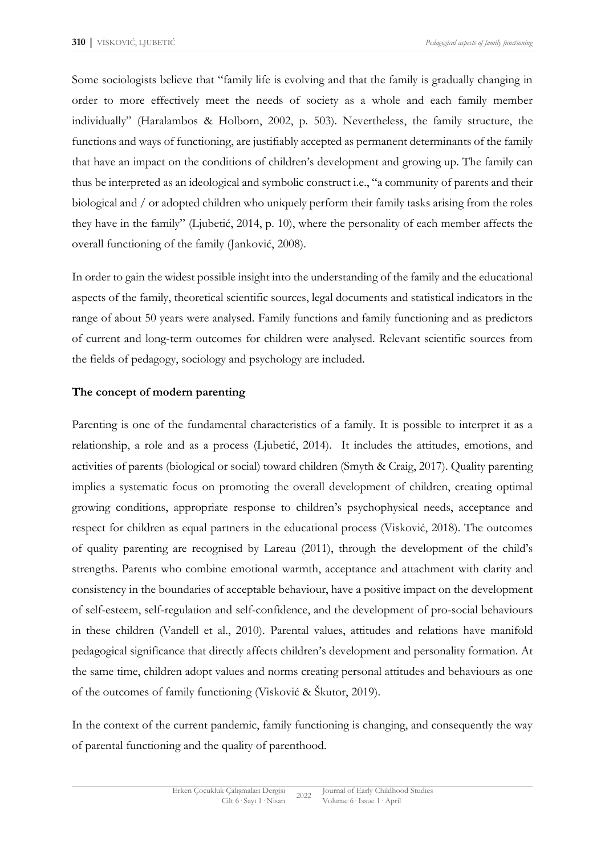Some sociologists believe that "family life is evolving and that the family is gradually changing in order to more effectively meet the needs of society as a whole and each family member individually" (Haralambos & Holborn, 2002, p. 503). Nevertheless, the family structure, the functions and ways of functioning, are justifiably accepted as permanent determinants of the family that have an impact on the conditions of children's development and growing up. The family can thus be interpreted as an ideological and symbolic construct i.e., "a community of parents and their biological and / or adopted children who uniquely perform their family tasks arising from the roles they have in the family" (Ljubetić, 2014, p. 10), where the personality of each member affects the overall functioning of the family (Janković, 2008).

In order to gain the widest possible insight into the understanding of the family and the educational aspects of the family, theoretical scientific sources, legal documents and statistical indicators in the range of about 50 years were analysed. Family functions and family functioning and as predictors of current and long-term outcomes for children were analysed. Relevant scientific sources from the fields of pedagogy, sociology and psychology are included.

# **The concept of modern parenting**

Parenting is one of the fundamental characteristics of a family. It is possible to interpret it as a relationship, a role and as a process (Ljubetić, 2014). It includes the attitudes, emotions, and activities of parents (biological or social) toward children (Smyth & Craig, 2017). Quality parenting implies a systematic focus on promoting the overall development of children, creating optimal growing conditions, appropriate response to children's psychophysical needs, acceptance and respect for children as equal partners in the educational process (Visković, 2018). The outcomes of quality parenting are recognised by Lareau (2011), through the development of the child's strengths. Parents who combine emotional warmth, acceptance and attachment with clarity and consistency in the boundaries of acceptable behaviour, have a positive impact on the development of self-esteem, self-regulation and self-confidence, and the development of pro-social behaviours in these children (Vandell et al., 2010). Parental values, attitudes and relations have manifold pedagogical significance that directly affects children's development and personality formation. At the same time, children adopt values and norms creating personal attitudes and behaviours as one of the outcomes of family functioning (Visković & Škutor, 2019).

In the context of the current pandemic, family functioning is changing, and consequently the way of parental functioning and the quality of parenthood.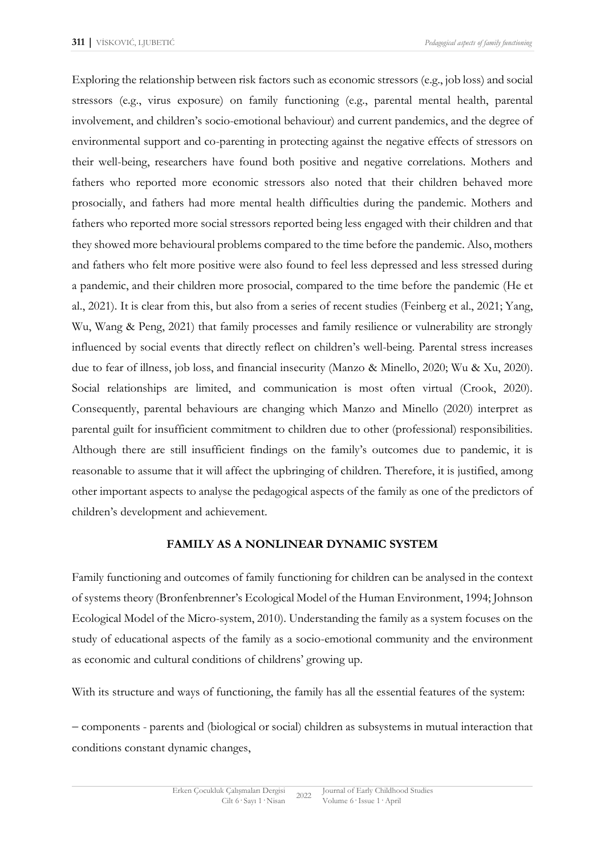Exploring the relationship between risk factors such as economic stressors (e.g., job loss) and social stressors (e.g., virus exposure) on family functioning (e.g., parental mental health, parental involvement, and children's socio-emotional behaviour) and current pandemics, and the degree of environmental support and co-parenting in protecting against the negative effects of stressors on their well-being, researchers have found both positive and negative correlations. Mothers and fathers who reported more economic stressors also noted that their children behaved more prosocially, and fathers had more mental health difficulties during the pandemic. Mothers and fathers who reported more social stressors reported being less engaged with their children and that they showed more behavioural problems compared to the time before the pandemic. Also, mothers and fathers who felt more positive were also found to feel less depressed and less stressed during a pandemic, and their children more prosocial, compared to the time before the pandemic (He et al., 2021). It is clear from this, but also from a series of recent studies (Feinberg et al., 2021; Yang, Wu, Wang & Peng, 2021) that family processes and family resilience or vulnerability are strongly influenced by social events that directly reflect on children's well-being. Parental stress increases due to fear of illness, job loss, and financial insecurity (Manzo & Minello, 2020; Wu & Xu, 2020). Social relationships are limited, and communication is most often virtual (Crook, 2020). Consequently, parental behaviours are changing which Manzo and Minello (2020) interpret as parental guilt for insufficient commitment to children due to other (professional) responsibilities. Although there are still insufficient findings on the family's outcomes due to pandemic, it is reasonable to assume that it will affect the upbringing of children. Therefore, it is justified, among other important aspects to analyse the pedagogical aspects of the family as one of the predictors of children's development and achievement.

#### **FAMILY AS A NONLINEAR DYNAMIC SYSTEM**

Family functioning and outcomes of family functioning for children can be analysed in the context of systems theory (Bronfenbrenner's Ecological Model of the Human Environment, 1994; Johnson Ecological Model of the Micro-system, 2010). Understanding the family as a system focuses on the study of educational aspects of the family as a socio-emotional community and the environment as economic and cultural conditions of childrens' growing up.

With its structure and ways of functioning, the family has all the essential features of the system:

− components - parents and (biological or social) children as subsystems in mutual interaction that conditions constant dynamic changes,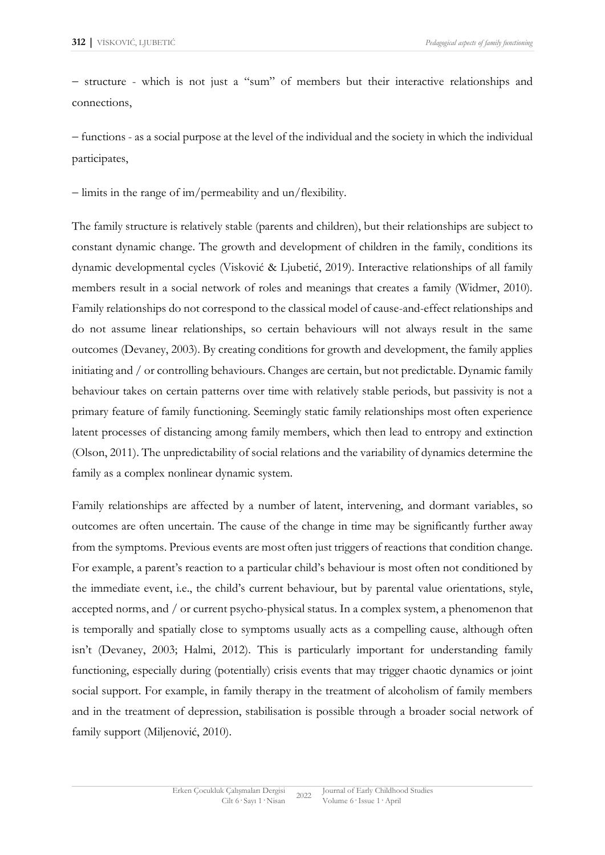− structure - which is not just a "sum" of members but their interactive relationships and connections,

− functions - as a social purpose at the level of the individual and the society in which the individual participates,

− limits in the range of im/permeability and un/flexibility.

The family structure is relatively stable (parents and children), but their relationships are subject to constant dynamic change. The growth and development of children in the family, conditions its dynamic developmental cycles (Visković & Ljubetić, 2019). Interactive relationships of all family members result in a social network of roles and meanings that creates a family (Widmer, 2010). Family relationships do not correspond to the classical model of cause-and-effect relationships and do not assume linear relationships, so certain behaviours will not always result in the same outcomes (Devaney, 2003). By creating conditions for growth and development, the family applies initiating and / or controlling behaviours. Changes are certain, but not predictable. Dynamic family behaviour takes on certain patterns over time with relatively stable periods, but passivity is not a primary feature of family functioning. Seemingly static family relationships most often experience latent processes of distancing among family members, which then lead to entropy and extinction (Olson, 2011). The unpredictability of social relations and the variability of dynamics determine the family as a complex nonlinear dynamic system.

Family relationships are affected by a number of latent, intervening, and dormant variables, so outcomes are often uncertain. The cause of the change in time may be significantly further away from the symptoms. Previous events are most often just triggers of reactions that condition change. For example, a parent's reaction to a particular child's behaviour is most often not conditioned by the immediate event, i.e., the child's current behaviour, but by parental value orientations, style, accepted norms, and / or current psycho-physical status. In a complex system, a phenomenon that is temporally and spatially close to symptoms usually acts as a compelling cause, although often isn't (Devaney, 2003; Halmi, 2012). This is particularly important for understanding family functioning, especially during (potentially) crisis events that may trigger chaotic dynamics or joint social support. For example, in family therapy in the treatment of alcoholism of family members and in the treatment of depression, stabilisation is possible through a broader social network of family support (Miljenović, 2010).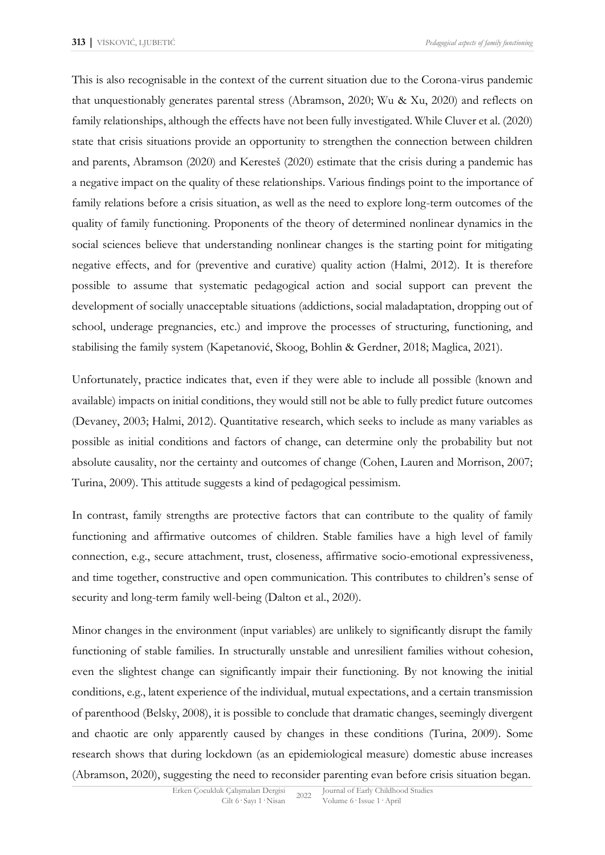This is also recognisable in the context of the current situation due to the Corona-virus pandemic that unquestionably generates parental stress (Abramson, 2020; Wu & Xu, 2020) and reflects on family relationships, although the effects have not been fully investigated. While Cluver et al. (2020) state that crisis situations provide an opportunity to strengthen the connection between children and parents, Abramson (2020) and Keresteš (2020) estimate that the crisis during a pandemic has a negative impact on the quality of these relationships. Various findings point to the importance of family relations before a crisis situation, as well as the need to explore long-term outcomes of the quality of family functioning. Proponents of the theory of determined nonlinear dynamics in the social sciences believe that understanding nonlinear changes is the starting point for mitigating negative effects, and for (preventive and curative) quality action (Halmi, 2012). It is therefore possible to assume that systematic pedagogical action and social support can prevent the development of socially unacceptable situations (addictions, social maladaptation, dropping out of school, underage pregnancies, etc.) and improve the processes of structuring, functioning, and stabilising the family system (Kapetanović, Skoog, Bohlin & Gerdner, 2018; Maglica, 2021).

Unfortunately, practice indicates that, even if they were able to include all possible (known and available) impacts on initial conditions, they would still not be able to fully predict future outcomes (Devaney, 2003; Halmi, 2012). Quantitative research, which seeks to include as many variables as possible as initial conditions and factors of change, can determine only the probability but not absolute causality, nor the certainty and outcomes of change (Cohen, Lauren and Morrison, 2007; Turina, 2009). This attitude suggests a kind of pedagogical pessimism.

In contrast, family strengths are protective factors that can contribute to the quality of family functioning and affirmative outcomes of children. Stable families have a high level of family connection, e.g., secure attachment, trust, closeness, affirmative socio-emotional expressiveness, and time together, constructive and open communication. This contributes to children's sense of security and long-term family well-being (Dalton et al., 2020).

Minor changes in the environment (input variables) are unlikely to significantly disrupt the family functioning of stable families. In structurally unstable and unresilient families without cohesion, even the slightest change can significantly impair their functioning. By not knowing the initial conditions, e.g., latent experience of the individual, mutual expectations, and a certain transmission of parenthood (Belsky, 2008), it is possible to conclude that dramatic changes, seemingly divergent and chaotic are only apparently caused by changes in these conditions (Turina, 2009). Some research shows that during lockdown (as an epidemiological measure) domestic abuse increases (Abramson, 2020), suggesting the need to reconsider parenting evan before crisis situation began.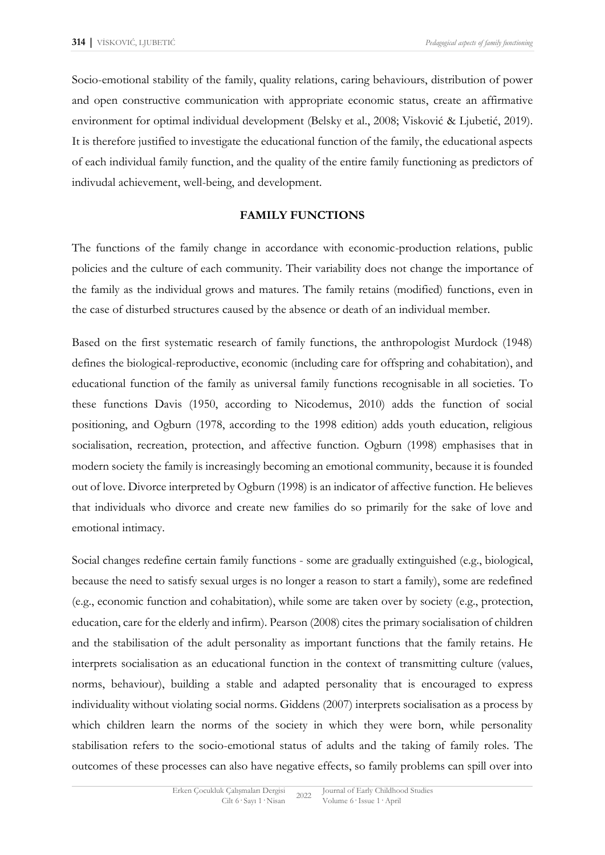Socio-emotional stability of the family, quality relations, caring behaviours, distribution of power and open constructive communication with appropriate economic status, create an affirmative environment for optimal individual development (Belsky et al., 2008; Visković & Ljubetić, 2019). It is therefore justified to investigate the educational function of the family, the educational aspects of each individual family function, and the quality of the entire family functioning as predictors of indivudal achievement, well-being, and development.

# **FAMILY FUNCTIONS**

The functions of the family change in accordance with economic-production relations, public policies and the culture of each community. Their variability does not change the importance of the family as the individual grows and matures. The family retains (modified) functions, even in the case of disturbed structures caused by the absence or death of an individual member.

Based on the first systematic research of family functions, the anthropologist Murdock (1948) defines the biological-reproductive, economic (including care for offspring and cohabitation), and educational function of the family as universal family functions recognisable in all societies. To these functions Davis (1950, according to Nicodemus, 2010) adds the function of social positioning, and Ogburn (1978, according to the 1998 edition) adds youth education, religious socialisation, recreation, protection, and affective function. Ogburn (1998) emphasises that in modern society the family is increasingly becoming an emotional community, because it is founded out of love. Divorce interpreted by Ogburn (1998) is an indicator of affective function. He believes that individuals who divorce and create new families do so primarily for the sake of love and emotional intimacy.

Social changes redefine certain family functions - some are gradually extinguished (e.g., biological, because the need to satisfy sexual urges is no longer a reason to start a family), some are redefined (e.g., economic function and cohabitation), while some are taken over by society (e.g., protection, education, care for the elderly and infirm). Pearson (2008) cites the primary socialisation of children and the stabilisation of the adult personality as important functions that the family retains. He interprets socialisation as an educational function in the context of transmitting culture (values, norms, behaviour), building a stable and adapted personality that is encouraged to express individuality without violating social norms. Giddens (2007) interprets socialisation as a process by which children learn the norms of the society in which they were born, while personality stabilisation refers to the socio-emotional status of adults and the taking of family roles. The outcomes of these processes can also have negative effects, so family problems can spill over into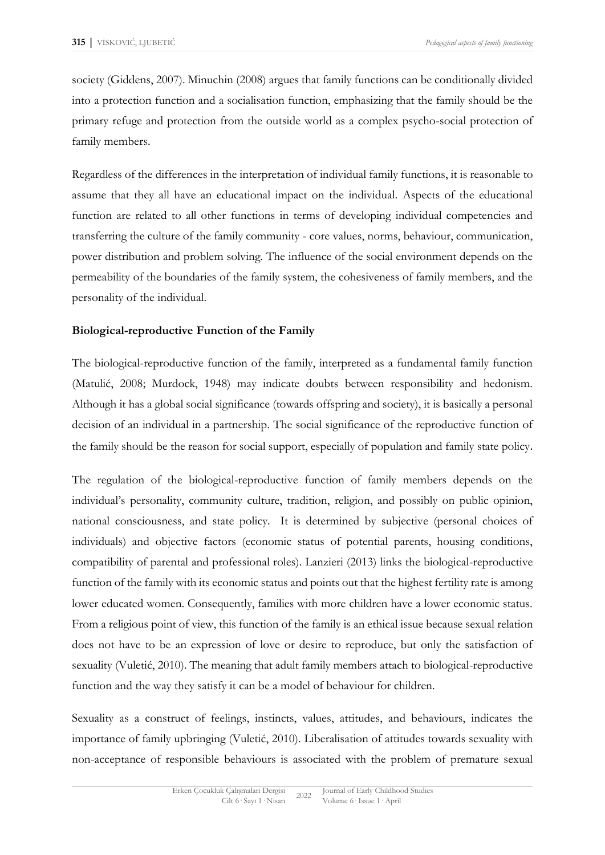society (Giddens, 2007). Minuchin (2008) argues that family functions can be conditionally divided into a protection function and a socialisation function, emphasizing that the family should be the primary refuge and protection from the outside world as a complex psycho-social protection of family members.

Regardless of the differences in the interpretation of individual family functions, it is reasonable to assume that they all have an educational impact on the individual. Aspects of the educational function are related to all other functions in terms of developing individual competencies and transferring the culture of the family community - core values, norms, behaviour, communication, power distribution and problem solving. The influence of the social environment depends on the permeability of the boundaries of the family system, the cohesiveness of family members, and the personality of the individual.

# **Biological-reproductive Function of the Family**

The biological-reproductive function of the family, interpreted as a fundamental family function (Matulić, 2008; Murdock, 1948) may indicate doubts between responsibility and hedonism. Although it has a global social significance (towards offspring and society), it is basically a personal decision of an individual in a partnership. The social significance of the reproductive function of the family should be the reason for social support, especially of population and family state policy.

The regulation of the biological-reproductive function of family members depends on the individual's personality, community culture, tradition, religion, and possibly on public opinion, national consciousness, and state policy. It is determined by subjective (personal choices of individuals) and objective factors (economic status of potential parents, housing conditions, compatibility of parental and professional roles). Lanzieri (2013) links the biological-reproductive function of the family with its economic status and points out that the highest fertility rate is among lower educated women. Consequently, families with more children have a lower economic status. From a religious point of view, this function of the family is an ethical issue because sexual relation does not have to be an expression of love or desire to reproduce, but only the satisfaction of sexuality (Vuletić, 2010). The meaning that adult family members attach to biological-reproductive function and the way they satisfy it can be a model of behaviour for children.

Sexuality as a construct of feelings, instincts, values, attitudes, and behaviours, indicates the importance of family upbringing (Vuletić, 2010). Liberalisation of attitudes towards sexuality with non-acceptance of responsible behaviours is associated with the problem of premature sexual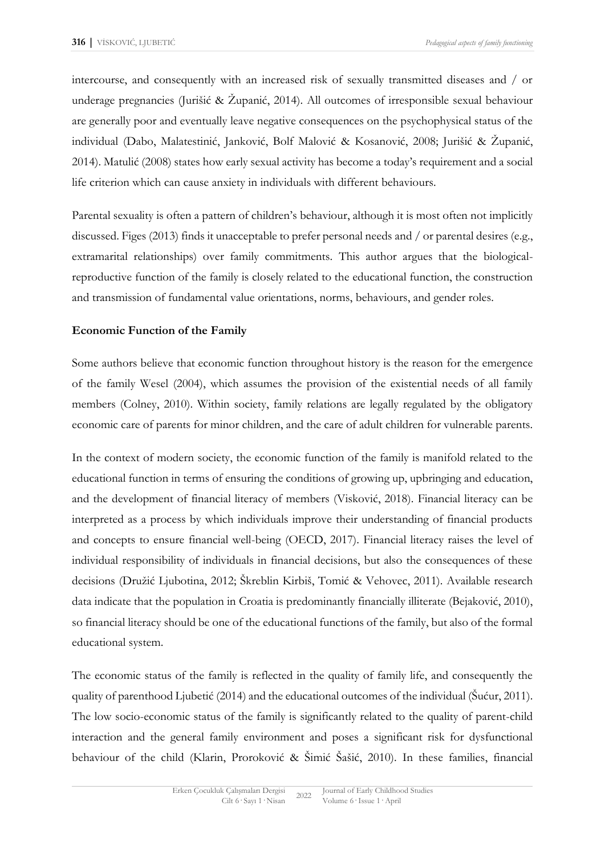intercourse, and consequently with an increased risk of sexually transmitted diseases and / or underage pregnancies (Jurišić & Županić, 2014). All outcomes of irresponsible sexual behaviour are generally poor and eventually leave negative consequences on the psychophysical status of the individual (Dabo, Malatestinić, Janković, Bolf Malović & Kosanović, 2008; Jurišić & Županić, 2014). Matulić (2008) states how early sexual activity has become a today's requirement and a social life criterion which can cause anxiety in individuals with different behaviours.

Parental sexuality is often a pattern of children's behaviour, although it is most often not implicitly discussed. Figes (2013) finds it unacceptable to prefer personal needs and / or parental desires (e.g., extramarital relationships) over family commitments. This author argues that the biologicalreproductive function of the family is closely related to the educational function, the construction and transmission of fundamental value orientations, norms, behaviours, and gender roles.

# **Economic Function of the Family**

Some authors believe that economic function throughout history is the reason for the emergence of the family Wesel (2004), which assumes the provision of the existential needs of all family members (Colney, 2010). Within society, family relations are legally regulated by the obligatory economic care of parents for minor children, and the care of adult children for vulnerable parents.

In the context of modern society, the economic function of the family is manifold related to the educational function in terms of ensuring the conditions of growing up, upbringing and education, and the development of financial literacy of members (Visković, 2018). Financial literacy can be interpreted as a process by which individuals improve their understanding of financial products and concepts to ensure financial well-being (OECD, 2017). Financial literacy raises the level of individual responsibility of individuals in financial decisions, but also the consequences of these decisions (Družić Ljubotina, 2012; Škreblin Kirbiš, Tomić & Vehovec, 2011). Available research data indicate that the population in Croatia is predominantly financially illiterate (Bejaković, 2010), so financial literacy should be one of the educational functions of the family, but also of the formal educational system.

The economic status of the family is reflected in the quality of family life, and consequently the quality of parenthood Ljubetić (2014) and the educational outcomes of the individual (Šućur, 2011). The low socio-economic status of the family is significantly related to the quality of parent-child interaction and the general family environment and poses a significant risk for dysfunctional behaviour of the child (Klarin, Proroković & Šimić Šašić, 2010). In these families, financial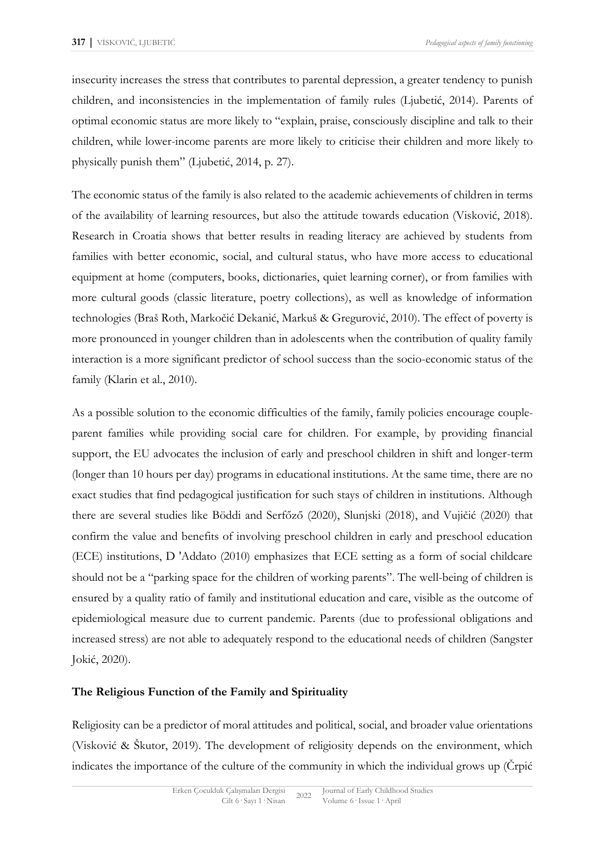insecurity increases the stress that contributes to parental depression, a greater tendency to punish children, and inconsistencies in the implementation of family rules (Ljubetić, 2014). Parents of optimal economic status are more likely to "explain, praise, consciously discipline and talk to their children, while lower-income parents are more likely to criticise their children and more likely to physically punish them" (Ljubetić, 2014, p. 27).

The economic status of the family is also related to the academic achievements of children in terms of the availability of learning resources, but also the attitude towards education (Visković, 2018). Research in Croatia shows that better results in reading literacy are achieved by students from families with better economic, social, and cultural status, who have more access to educational equipment at home (computers, books, dictionaries, quiet learning corner), or from families with more cultural goods (classic literature, poetry collections), as well as knowledge of information technologies (Braš Roth, Markočić Dekanić, Markuš & Gregurović, 2010). The effect of poverty is more pronounced in younger children than in adolescents when the contribution of quality family interaction is a more significant predictor of school success than the socio-economic status of the family (Klarin et al., 2010).

As a possible solution to the economic difficulties of the family, family policies encourage coupleparent families while providing social care for children. For example, by providing financial support, the EU advocates the inclusion of early and preschool children in shift and longer-term (longer than 10 hours per day) programs in educational institutions. At the same time, there are no exact studies that find pedagogical justification for such stays of children in institutions. Although there are several studies like Böddi and Serfőző (2020), Slunjski (2018), and Vujičić (2020) that confirm the value and benefits of involving preschool children in early and preschool education (ECE) institutions, D 'Addato (2010) emphasizes that ECE setting as a form of social childcare should not be a "parking space for the children of working parents". The well-being of children is ensured by a quality ratio of family and institutional education and care, visible as the outcome of epidemiological measure due to current pandemic. Parents (due to professional obligations and increased stress) are not able to adequately respond to the educational needs of children (Sangster Jokić, 2020).

# **The Religious Function of the Family and Spirituality**

Religiosity can be a predictor of moral attitudes and political, social, and broader value orientations (Visković & Škutor, 2019). The development of religiosity depends on the environment, which indicates the importance of the culture of the community in which the individual grows up (Črpić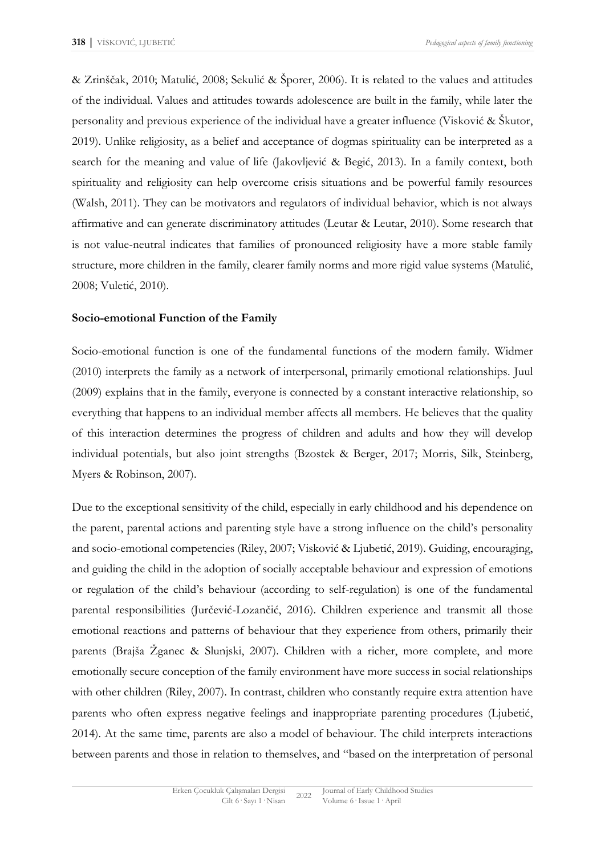& Zrinščak, 2010; Matulić, 2008; Sekulić & Šporer, 2006). It is related to the values and attitudes of the individual. Values and attitudes towards adolescence are built in the family, while later the personality and previous experience of the individual have a greater influence (Visković & Škutor, 2019). Unlike religiosity, as a belief and acceptance of dogmas spirituality can be interpreted as a search for the meaning and value of life (Jakovljević & Begić, 2013). In a family context, both spirituality and religiosity can help overcome crisis situations and be powerful family resources (Walsh, 2011). They can be motivators and regulators of individual behavior, which is not always affirmative and can generate discriminatory attitudes (Leutar & Leutar, 2010). Some research that is not value-neutral indicates that families of pronounced religiosity have a more stable family structure, more children in the family, clearer family norms and more rigid value systems (Matulić, 2008; Vuletić, 2010).

# **Socio-emotional Function of the Family**

Socio-emotional function is one of the fundamental functions of the modern family. Widmer (2010) interprets the family as a network of interpersonal, primarily emotional relationships. Juul (2009) explains that in the family, everyone is connected by a constant interactive relationship, so everything that happens to an individual member affects all members. He believes that the quality of this interaction determines the progress of children and adults and how they will develop individual potentials, but also joint strengths (Bzostek & Berger, 2017; Morris, Silk, Steinberg, Myers & Robinson, 2007).

Due to the exceptional sensitivity of the child, especially in early childhood and his dependence on the parent, parental actions and parenting style have a strong influence on the child's personality and socio-emotional competencies (Riley, 2007; Visković & Ljubetić, 2019). Guiding, encouraging, and guiding the child in the adoption of socially acceptable behaviour and expression of emotions or regulation of the child's behaviour (according to self-regulation) is one of the fundamental parental responsibilities (Jurčević-Lozančić, 2016). Children experience and transmit all those emotional reactions and patterns of behaviour that they experience from others, primarily their parents (Brajša Žganec & Slunjski, 2007). Children with a richer, more complete, and more emotionally secure conception of the family environment have more success in social relationships with other children (Riley, 2007). In contrast, children who constantly require extra attention have parents who often express negative feelings and inappropriate parenting procedures (Ljubetić, 2014). At the same time, parents are also a model of behaviour. The child interprets interactions between parents and those in relation to themselves, and "based on the interpretation of personal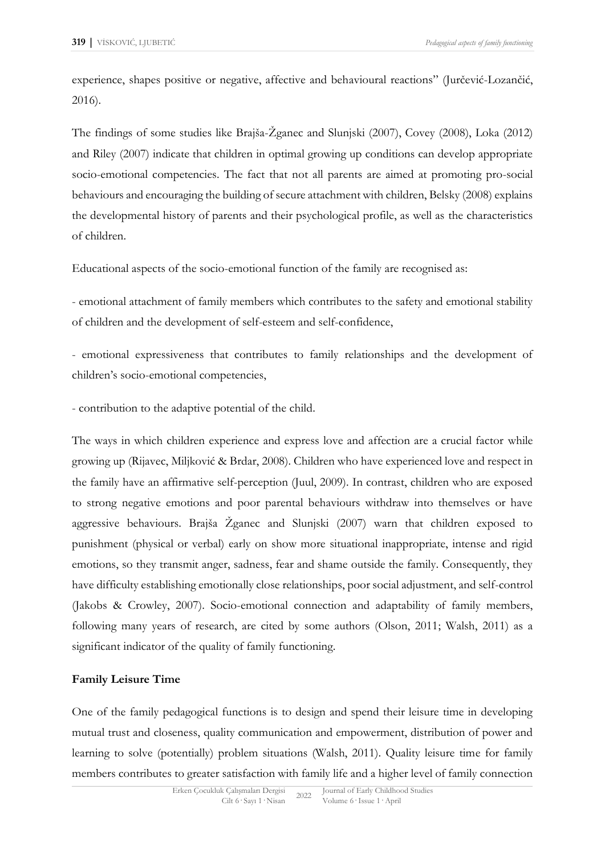experience, shapes positive or negative, affective and behavioural reactions" (Jurčević-Lozančić, 2016).

The findings of some studies like Brajša-Žganec and Slunjski (2007), Covey (2008), Loka (2012) and Riley (2007) indicate that children in optimal growing up conditions can develop appropriate socio-emotional competencies. The fact that not all parents are aimed at promoting pro-social behaviours and encouraging the building of secure attachment with children, Belsky (2008) explains the developmental history of parents and their psychological profile, as well as the characteristics of children.

Educational aspects of the socio-emotional function of the family are recognised as:

- emotional attachment of family members which contributes to the safety and emotional stability of children and the development of self-esteem and self-confidence,

- emotional expressiveness that contributes to family relationships and the development of children's socio-emotional competencies,

- contribution to the adaptive potential of the child.

The ways in which children experience and express love and affection are a crucial factor while growing up (Rijavec, Miljković & Brdar, 2008). Children who have experienced love and respect in the family have an affirmative self-perception (Juul, 2009). In contrast, children who are exposed to strong negative emotions and poor parental behaviours withdraw into themselves or have aggressive behaviours. Brajša Žganec and Slunjski (2007) warn that children exposed to punishment (physical or verbal) early on show more situational inappropriate, intense and rigid emotions, so they transmit anger, sadness, fear and shame outside the family. Consequently, they have difficulty establishing emotionally close relationships, poor social adjustment, and self-control (Jakobs & Crowley, 2007). Socio-emotional connection and adaptability of family members, following many years of research, are cited by some authors (Olson, 2011; Walsh, 2011) as a significant indicator of the quality of family functioning.

# **Family Leisure Time**

One of the family pedagogical functions is to design and spend their leisure time in developing mutual trust and closeness, quality communication and empowerment, distribution of power and learning to solve (potentially) problem situations (Walsh, 2011). Quality leisure time for family members contributes to greater satisfaction with family life and a higher level of family connection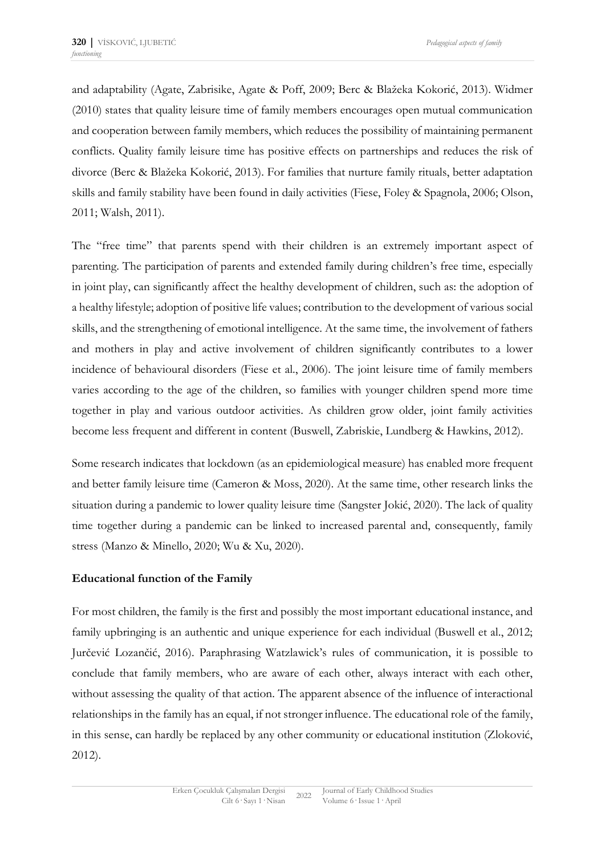and adaptability (Agate, Zabrisike, Agate & Poff, 2009; Berc & Blažeka Kokorić, 2013). Widmer (2010) states that quality leisure time of family members encourages open mutual communication and cooperation between family members, which reduces the possibility of maintaining permanent conflicts. Quality family leisure time has positive effects on partnerships and reduces the risk of divorce (Berc & Blažeka Kokorić, 2013). For families that nurture family rituals, better adaptation skills and family stability have been found in daily activities (Fiese, Foley & Spagnola, 2006; Olson, 2011; Walsh, 2011).

The "free time" that parents spend with their children is an extremely important aspect of parenting. The participation of parents and extended family during children's free time, especially in joint play, can significantly affect the healthy development of children, such as: the adoption of a healthy lifestyle; adoption of positive life values; contribution to the development of various social skills, and the strengthening of emotional intelligence. At the same time, the involvement of fathers and mothers in play and active involvement of children significantly contributes to a lower incidence of behavioural disorders (Fiese et al., 2006). The joint leisure time of family members varies according to the age of the children, so families with younger children spend more time together in play and various outdoor activities. As children grow older, joint family activities become less frequent and different in content (Buswell, Zabriskie, Lundberg & Hawkins, 2012).

Some research indicates that lockdown (as an epidemiological measure) has enabled more frequent and better family leisure time (Cameron & Moss, 2020). At the same time, other research links the situation during a pandemic to lower quality leisure time (Sangster Jokić, 2020). The lack of quality time together during a pandemic can be linked to increased parental and, consequently, family stress (Manzo & Minello, 2020; Wu & Xu, 2020).

## **Educational function of the Family**

For most children, the family is the first and possibly the most important educational instance, and family upbringing is an authentic and unique experience for each individual (Buswell et al., 2012; Jurčević Lozančić, 2016). Paraphrasing Watzlawick's rules of communication, it is possible to conclude that family members, who are aware of each other, always interact with each other, without assessing the quality of that action. The apparent absence of the influence of interactional relationships in the family has an equal, if not stronger influence. The educational role of the family, in this sense, can hardly be replaced by any other community or educational institution (Zloković, 2012).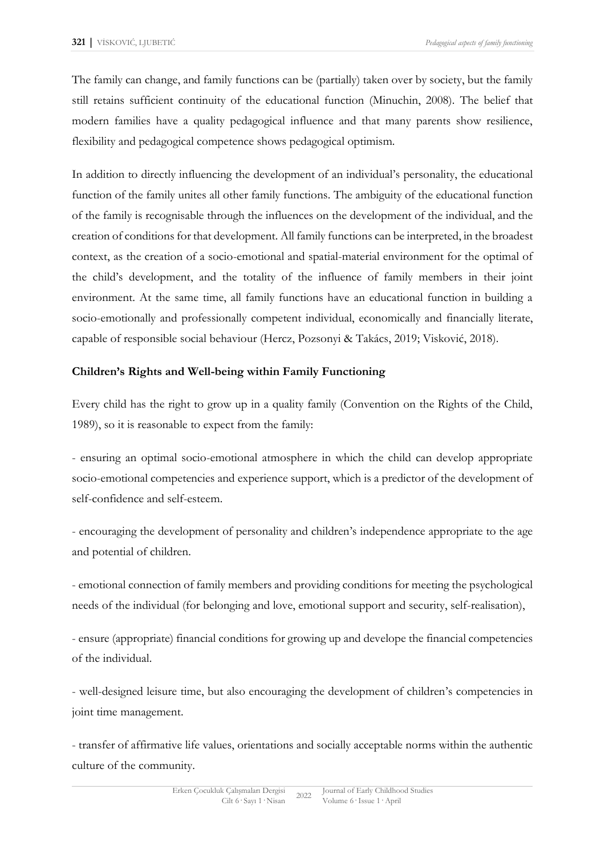The family can change, and family functions can be (partially) taken over by society, but the family still retains sufficient continuity of the educational function (Minuchin, 2008). The belief that modern families have a quality pedagogical influence and that many parents show resilience, flexibility and pedagogical competence shows pedagogical optimism.

In addition to directly influencing the development of an individual's personality, the educational function of the family unites all other family functions. The ambiguity of the educational function of the family is recognisable through the influences on the development of the individual, and the creation of conditions for that development. All family functions can be interpreted, in the broadest context, as the creation of a socio-emotional and spatial-material environment for the optimal of the child's development, and the totality of the influence of family members in their joint environment. At the same time, all family functions have an educational function in building a socio-emotionally and professionally competent individual, economically and financially literate, capable of responsible social behaviour (Hercz, Pozsonyi & Takács, 2019; Visković, 2018).

# **Children's Rights and Well-being within Family Functioning**

Every child has the right to grow up in a quality family (Convention on the Rights of the Child, 1989), so it is reasonable to expect from the family:

- ensuring an optimal socio-emotional atmosphere in which the child can develop appropriate socio-emotional competencies and experience support, which is a predictor of the development of self-confidence and self-esteem.

- encouraging the development of personality and children's independence appropriate to the age and potential of children.

- emotional connection of family members and providing conditions for meeting the psychological needs of the individual (for belonging and love, emotional support and security, self-realisation),

- ensure (appropriate) financial conditions for growing up and develope the financial competencies of the individual.

- well-designed leisure time, but also encouraging the development of children's competencies in joint time management.

- transfer of affirmative life values, orientations and socially acceptable norms within the authentic culture of the community.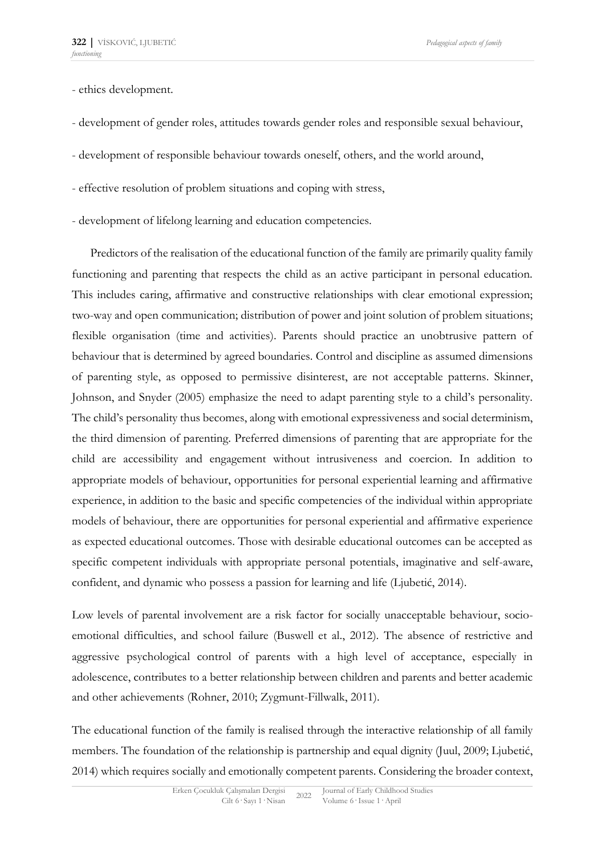- ethics development.

- development of gender roles, attitudes towards gender roles and responsible sexual behaviour,
- development of responsible behaviour towards oneself, others, and the world around,
- effective resolution of problem situations and coping with stress,
- development of lifelong learning and education competencies.

Predictors of the realisation of the educational function of the family are primarily quality family functioning and parenting that respects the child as an active participant in personal education. This includes caring, affirmative and constructive relationships with clear emotional expression; two-way and open communication; distribution of power and joint solution of problem situations; flexible organisation (time and activities). Parents should practice an unobtrusive pattern of behaviour that is determined by agreed boundaries. Control and discipline as assumed dimensions of parenting style, as opposed to permissive disinterest, are not acceptable patterns. Skinner, Johnson, and Snyder (2005) emphasize the need to adapt parenting style to a child's personality. The child's personality thus becomes, along with emotional expressiveness and social determinism, the third dimension of parenting. Preferred dimensions of parenting that are appropriate for the child are accessibility and engagement without intrusiveness and coercion. In addition to appropriate models of behaviour, opportunities for personal experiential learning and affirmative experience, in addition to the basic and specific competencies of the individual within appropriate models of behaviour, there are opportunities for personal experiential and affirmative experience as expected educational outcomes. Those with desirable educational outcomes can be accepted as specific competent individuals with appropriate personal potentials, imaginative and self-aware, confident, and dynamic who possess a passion for learning and life (Ljubetić, 2014).

Low levels of parental involvement are a risk factor for socially unacceptable behaviour, socioemotional difficulties, and school failure (Buswell et al., 2012). The absence of restrictive and aggressive psychological control of parents with a high level of acceptance, especially in adolescence, contributes to a better relationship between children and parents and better academic and other achievements (Rohner, 2010; Zygmunt-Fillwalk, 2011).

The educational function of the family is realised through the interactive relationship of all family members. The foundation of the relationship is partnership and equal dignity (Juul, 2009; Ljubetić, 2014) which requires socially and emotionally competent parents. Considering the broader context,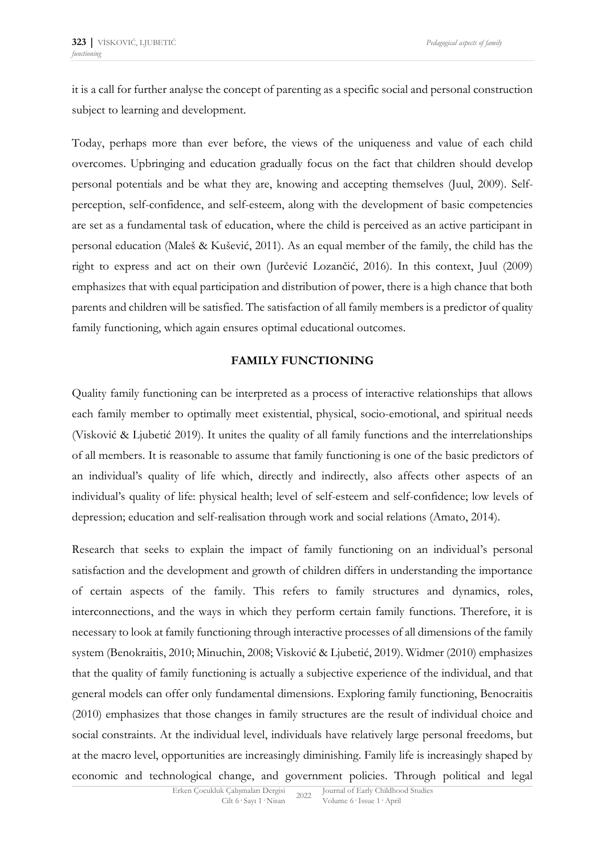it is a call for further analyse the concept of parenting as a specific social and personal construction subject to learning and development.

Today, perhaps more than ever before, the views of the uniqueness and value of each child overcomes. Upbringing and education gradually focus on the fact that children should develop personal potentials and be what they are, knowing and accepting themselves (Juul, 2009). Selfperception, self-confidence, and self-esteem, along with the development of basic competencies are set as a fundamental task of education, where the child is perceived as an active participant in personal education (Maleš & Kušević, 2011). As an equal member of the family, the child has the right to express and act on their own (Jurčević Lozančić, 2016). In this context, Juul (2009) emphasizes that with equal participation and distribution of power, there is a high chance that both parents and children will be satisfied. The satisfaction of all family members is a predictor of quality family functioning, which again ensures optimal educational outcomes.

### **FAMILY FUNCTIONING**

Quality family functioning can be interpreted as a process of interactive relationships that allows each family member to optimally meet existential, physical, socio-emotional, and spiritual needs (Visković & Ljubetić 2019). It unites the quality of all family functions and the interrelationships of all members. It is reasonable to assume that family functioning is one of the basic predictors of an individual's quality of life which, directly and indirectly, also affects other aspects of an individual's quality of life: physical health; level of self-esteem and self-confidence; low levels of depression; education and self-realisation through work and social relations (Amato, 2014).

Research that seeks to explain the impact of family functioning on an individual's personal satisfaction and the development and growth of children differs in understanding the importance of certain aspects of the family. This refers to family structures and dynamics, roles, interconnections, and the ways in which they perform certain family functions. Therefore, it is necessary to look at family functioning through interactive processes of all dimensions of the family system (Benokraitis, 2010; Minuchin, 2008; Visković & Ljubetić, 2019). Widmer (2010) emphasizes that the quality of family functioning is actually a subjective experience of the individual, and that general models can offer only fundamental dimensions. Exploring family functioning, Benocraitis (2010) emphasizes that those changes in family structures are the result of individual choice and social constraints. At the individual level, individuals have relatively large personal freedoms, but at the macro level, opportunities are increasingly diminishing. Family life is increasingly shaped by economic and technological change, and government policies. Through political and legal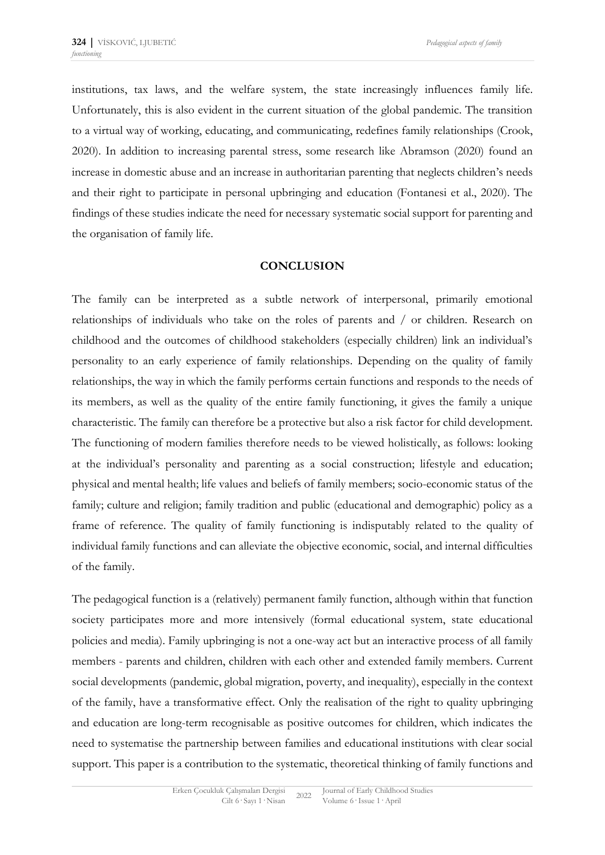institutions, tax laws, and the welfare system, the state increasingly influences family life. Unfortunately, this is also evident in the current situation of the global pandemic. The transition to a virtual way of working, educating, and communicating, redefines family relationships (Crook, 2020). In addition to increasing parental stress, some research like Abramson (2020) found an increase in domestic abuse and an increase in authoritarian parenting that neglects children's needs and their right to participate in personal upbringing and education (Fontanesi et al., 2020). The findings of these studies indicate the need for necessary systematic social support for parenting and the organisation of family life.

### **CONCLUSION**

The family can be interpreted as a subtle network of interpersonal, primarily emotional relationships of individuals who take on the roles of parents and / or children. Research on childhood and the outcomes of childhood stakeholders (especially children) link an individual's personality to an early experience of family relationships. Depending on the quality of family relationships, the way in which the family performs certain functions and responds to the needs of its members, as well as the quality of the entire family functioning, it gives the family a unique characteristic. The family can therefore be a protective but also a risk factor for child development. The functioning of modern families therefore needs to be viewed holistically, as follows: looking at the individual's personality and parenting as a social construction; lifestyle and education; physical and mental health; life values and beliefs of family members; socio-economic status of the family; culture and religion; family tradition and public (educational and demographic) policy as a frame of reference. The quality of family functioning is indisputably related to the quality of individual family functions and can alleviate the objective economic, social, and internal difficulties of the family.

The pedagogical function is a (relatively) permanent family function, although within that function society participates more and more intensively (formal educational system, state educational policies and media). Family upbringing is not a one-way act but an interactive process of all family members - parents and children, children with each other and extended family members. Current social developments (pandemic, global migration, poverty, and inequality), especially in the context of the family, have a transformative effect. Only the realisation of the right to quality upbringing and education are long-term recognisable as positive outcomes for children, which indicates the need to systematise the partnership between families and educational institutions with clear social support. This paper is a contribution to the systematic, theoretical thinking of family functions and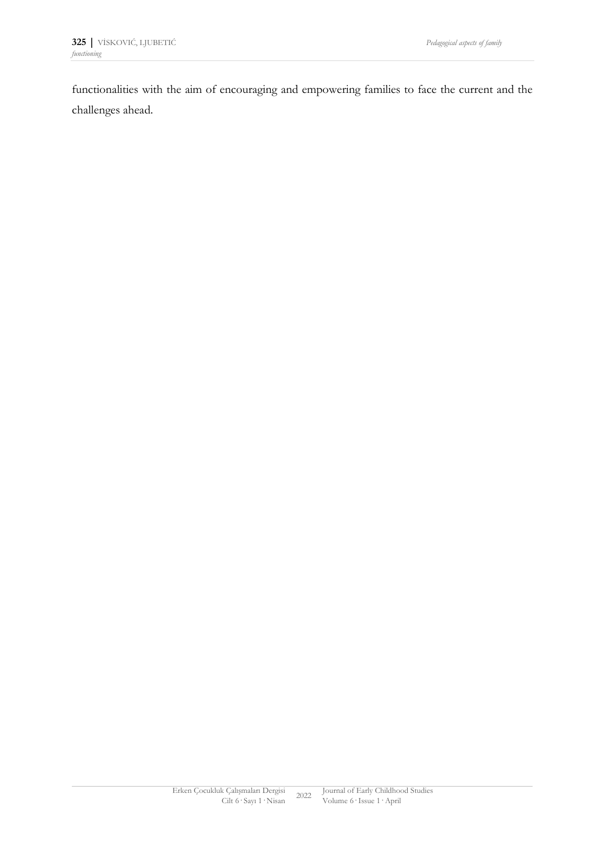functionalities with the aim of encouraging and empowering families to face the current and the challenges ahead.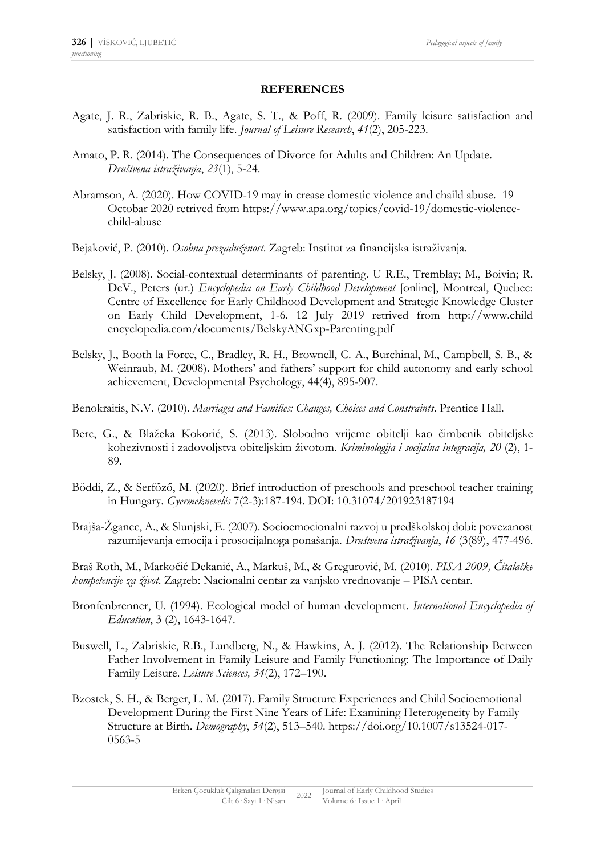#### **REFERENCES**

- Agate, J. R., Zabriskie, R. B., Agate, S. T., & Poff, R. (2009). Family leisure satisfaction and satisfaction with family life. *Journal of Leisure Research*, *41*(2), 205-223.
- Amato, P. R. (2014). The Consequences of Divorce for Adults and Children: An Update. *Društvena istraživanja*, *23*(1), 5-24.
- Abramson, A. (2020). How COVID-19 may in crease domestic violence and chaild abuse. 19 Octobar 2020 retrived from https://www.apa.org/topics/covid-19/domestic-violencechild-abuse
- Bejaković, P. (2010). *Osobna prezaduženost*. Zagreb: Institut za financijska istraživanja.
- Belsky, J. (2008). Social-contextual determinants of parenting. U R.E., Tremblay; M., Boivin; R. DeV., Peters (ur.) *Encyclopedia on Early Childhood Development* [online], Montreal, Quebec: Centre of Excellence for Early Childhood Development and Strategic Knowledge Cluster on Early Child Development, 1-6. 12 July 2019 retrived from http://www.child encyclopedia.com/documents/BelskyANGxp-Parenting.pdf
- Belsky, J., Booth la Force, C., Bradley, R. H., Brownell, C. A., Burchinal, M., Campbell, S. B., & Weinraub, M. (2008). Mothers' and fathers' support for child autonomy and early school achievement, Developmental Psychology, 44(4), 895-907.
- Benokraitis, N.V. (2010). *Marriages and Families: Changes, Choices and Constraints*. Prentice Hall.
- Berc, G., & Blažeka Kokorić, S. (2013). Slobodno vrijeme obitelji kao čimbenik obiteljske kohezivnosti i zadovoljstva obiteljskim životom. *Kriminologija i socijalna integracija, 20* (2), 1- 89.
- Böddi, Z., & Serfőző, M. (2020). Brief introduction of preschools and preschool teacher training in Hungary. *Gyermeknevelés* 7(2-3):187-194. DOI: 10.31074/201923187194
- Brajša-Žganec, A., & Slunjski, E. (2007). Socioemocionalni razvoj u predškolskoj dobi: povezanost razumijevanja emocija i prosocijalnoga ponašanja. *Društvena istraživanja*, *16* (3(89), 477-496.

Braš Roth, M., Markočić Dekanić, A., Markuš, M., & Gregurović, M. (2010). *PISA 2009, Čitalačke kompetencije za život*. Zagreb: Nacionalni centar za vanjsko vrednovanje – PISA centar.

- Bronfenbrenner, U. (1994). Ecological model of human development. *International Encyclopedia of Education*, 3 (2), 1643-1647.
- Buswell, L., Zabriskie, R.B., Lundberg, N., & Hawkins, A. J. (2012). The Relationship Between Father Involvement in Family Leisure and Family Functioning: The Importance of Daily Family Leisure. *Leisure Sciences, 34*(2), 172–190.
- Bzostek, S. H., & Berger, L. M. (2017). Family Structure Experiences and Child Socioemotional Development During the First Nine Years of Life: Examining Heterogeneity by Family Structure at Birth. *Demography*, *54*(2), 513–540. https://doi.org/10.1007/s13524-017- 0563-5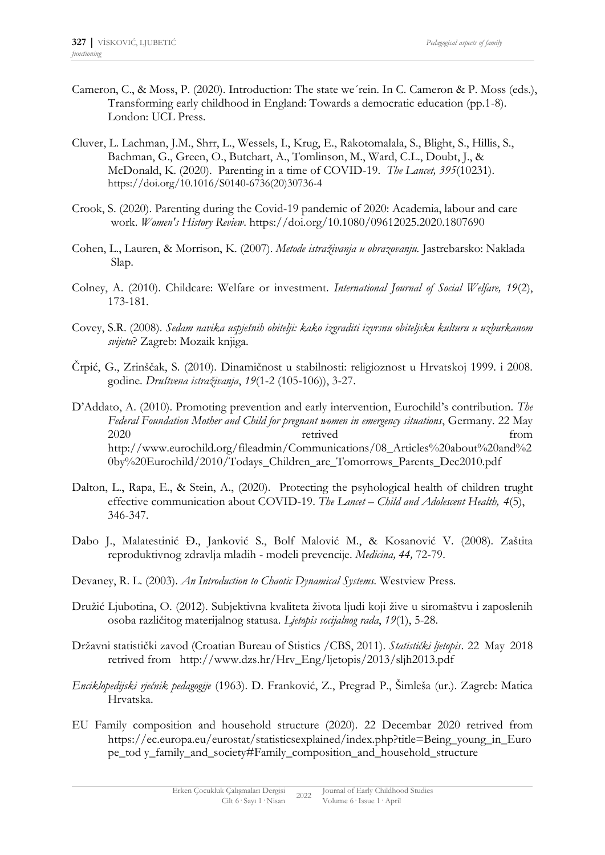- Cameron, C., & Moss, P. (2020). Introduction: The state we´rein. In C. Cameron & P. Moss (eds.), Transforming early childhood in England: Towards a democratic education (pp.1-8). London: UCL Press.
- Cluver, L. Lachman, J.M., Shrr, L., Wessels, I., Krug, E., Rakotomalala, S., Blight, S., Hillis, S., Bachman, G., Green, O., Butchart, A., Tomlinson, M., Ward, C.L., Doubt, J., & McDonald, K. (2020). Parenting in a time of COVID-19. *The Lancet, 395*(10231). https://doi.org/10.1016/S0140-6736(20)30736-4
- Crook, S. (2020). Parenting during the Covid-19 pandemic of 2020: Academia, labour and care work. *Women's History Review*. https://doi.org/10.1080/09612025.2020.1807690
- Cohen, L., Lauren, & Morrison, K. (2007). *Metode istraživanja u obrazovanju.* Jastrebarsko: Naklada Slap.
- Colney, A. (2010). Childcare: Welfare or investment. *International Journal of Social Welfare, 19*(2), 173-181.
- Covey, S.R. (2008). *Sedam navika uspješnih obitelji: kako izgraditi izvrsnu obiteljsku kulturu u uzburkanom svijetu*? Zagreb: Mozaik knjiga.
- Črpić, G., Zrinščak, S. (2010). Dinamičnost u stabilnosti: religioznost u Hrvatskoj 1999. i 2008. godine. *Društvena istraživanja*, *19*(1-2 (105-106)), 3-27.
- D'Addato, A. (2010). Promoting prevention and early intervention, Eurochild's contribution. *The Federal Foundation Mother and Child for pregnant women in emergency situations*, Germany. 22 May 2020 retrived from http://www.eurochild.org/fileadmin/Communications/08\_Articles%20about%20and%2 0by%20Eurochild/2010/Todays\_Children\_are\_Tomorrows\_Parents\_Dec2010.pdf
- Dalton, L., Rapa, E., & Stein, A., (2020). Protecting the psyhological health of children trught effective communication about COVID-19. *The Lancet – Child and Adolescent Health, 4*(5), 346-347.
- Dabo J., Malatestinić Đ., Janković S., Bolf Malović M., & Kosanović V. (2008). Zaštita reproduktivnog zdravlja mladih - modeli prevencije. *Medicina, 44,* 72-79.
- Devaney, R. L. (2003). *An Introduction to Chaotic Dynamical Systems.* Westview Press.
- Družić Ljubotina, O. (2012). Subjektivna kvaliteta života ljudi koji žive u siromaštvu i zaposlenih osoba različitog materijalnog statusa. *Ljetopis socijalnog rada*, *19*(1), 5-28.
- Državni statistički zavod (Croatian Bureau of Stistics /CBS, 2011). *Statistički ljetopis*. 22 May 2018 retrived from http://www.dzs.hr/Hrv\_Eng/ljetopis/2013/sljh2013.pdf
- *Enciklopedijski rječnik pedagogije* (1963). D. Franković, Z., Pregrad P., Šimleša (ur.). Zagreb: Matica Hrvatska.
- EU Family composition and household structure (2020). 22 Decembar 2020 retrived from https://ec.europa.eu/eurostat/statisticsexplained/index.php?title=Being\_young\_in\_Euro pe\_tod y\_family\_and\_society#Family\_composition\_and\_household\_structure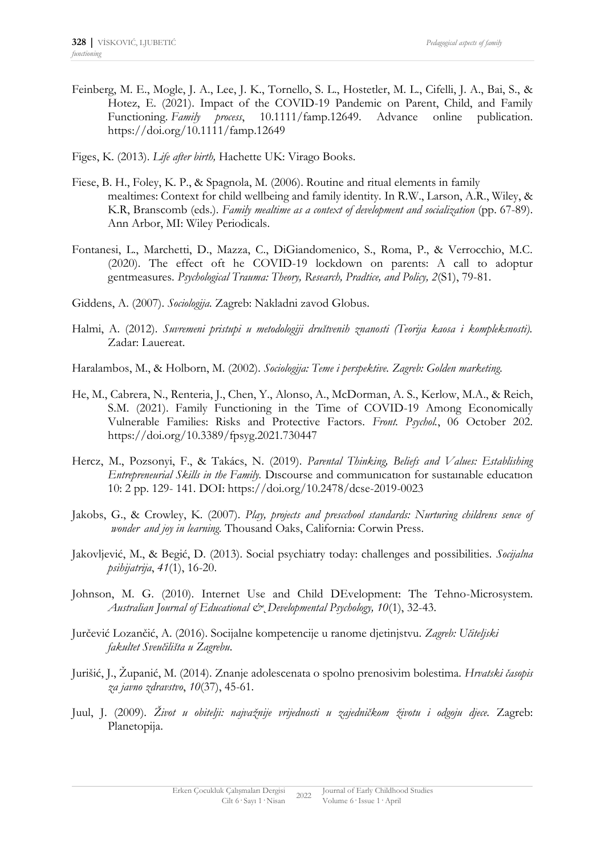- Feinberg, M. E., Mogle, J. A., Lee, J. K., Tornello, S. L., Hostetler, M. L., Cifelli, J. A., Bai, S., & Hotez, E. (2021). Impact of the COVID-19 Pandemic on Parent, Child, and Family Functioning. *Family process*, 10.1111/famp.12649. Advance online publication. https://doi.org/10.1111/famp.12649
- Figes, K. (2013). *Life after birth,* Hachette UK: Virago Books.
- Fiese, B. H., Foley, K. P., & Spagnola, M. (2006). Routine and ritual elements in family mealtimes: Context for child wellbeing and family identity. In R.W., Larson, A.R., Wiley, & K.R, Branscomb (eds.). *Family mealtime as a context of development and socialization* (pp. 67-89). Ann Arbor, MI: Wiley Periodicals.
- Fontanesi, L., Marchetti, D., Mazza, C., DiGiandomenico, S., Roma, P., & Verrocchio, M.C. (2020). The effect oft he COVID-19 lockdown on parents: A call to adoptur gentmeasures. *Psychological Trauma: Theory, Research, Pradtice, and Policy, 2*(S1), 79-81.
- Giddens, A. (2007). *Sociologija.* Zagreb: Nakladni zavod Globus.
- Halmi, A. (2012). *Suvremeni pristupi u metodologiji društvenih znanosti (Teorija kaosa i kompleksnosti).* Zadar: Lauereat.
- Haralambos, M., & Holborn, M. (2002). *Sociologija: Teme i perspektive. Zagreb: Golden marketing.*
- He, M., Cabrera, N., Renteria, J., Chen, Y., Alonso, A., McDorman, A. S., Kerlow, M.A., & Reich, S.M. (2021). Family Functioning in the Time of COVID-19 Among Economically Vulnerable Families: Risks and Protective Factors. *Front. Psychol.*, 06 October 202. https://doi.org/10.3389/fpsyg.2021.730447
- Hercz, M., Pozsonyi, F., & Takács, N. (2019). *Parental Thinking, Beliefs and Values: Establishing Entrepreneurial Skills in the Family.* Dıscourse and communıcatıon for sustaınable educatıon 10: 2 pp. 129- 141. DOI: https://doi.org/10.2478/dcse-2019-0023
- Jakobs, G., & Crowley, K. (2007). *Play, projects and prescchool standards: Nurturing childrens sence of wonder and joy in learning.* Thousand Oaks, California: Corwin Press.
- Jakovljević, M., & Begić, D. (2013). Social psychiatry today: challenges and possibilities. *Socijalna psihijatrija*, *41*(1), 16-20.
- Johnson, M. G. (2010). Internet Use and Child DEvelopment: The Tehno-Microsystem. *Australian Journal of Educational &˛Developmental Psychology, 10*(1), 32-43.
- Jurčević Lozančić, A. (2016). Socijalne kompetencije u ranome djetinjstvu. *Zagreb: Učiteljski fakultet Sveučilišta u Zagrebu*.
- Jurišić, J., Županić, M. (2014). Znanje adolescenata o spolno prenosivim bolestima. *Hrvatski časopis za javno zdravstvo*, *10*(37), 45-61.
- Juul, J. (2009). *Život u obitelji: najvažnije vrijednosti u zajedničkom životu i odgoju djece.* Zagreb: Planetopija.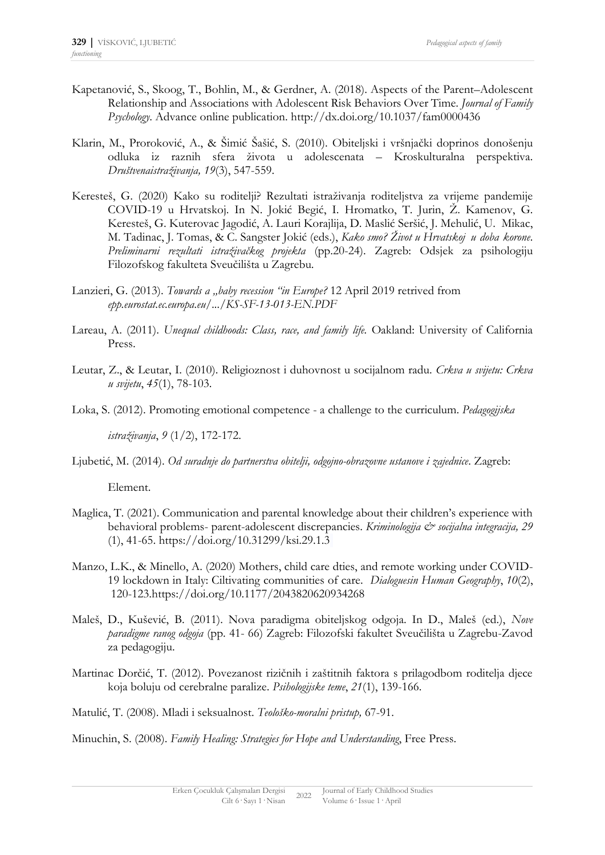- Kapetanović, S., Skoog, T., Bohlin, M., & Gerdner, A. (2018). Aspects of the Parent–Adolescent Relationship and Associations with Adolescent Risk Behaviors Over Time. *Journal of Family Psychology*. Advance online publication. http://dx.doi.org/10.1037/fam0000436
- Klarin, M., Proroković, A., & Šimić Šašić, S. (2010). Obiteljski i vršnjački doprinos donošenju odluka iz raznih sfera života u adolescenata – Kroskulturalna perspektiva. *Društvenaistraživanja, 19*(3), 547-559.
- Keresteš, G. (2020) Kako su roditelji? Rezultati istraživanja roditeljstva za vrijeme pandemije COVID-19 u Hrvatskoj. In N. Jokić Begić, I. Hromatko, T. Jurin, Ž. Kamenov, G. Keresteš, G. Kuterovac Jagodić, A. Lauri Korajlija, D. Maslić Seršić, J. Mehulić, U. Mikac, M. Tadinac, J. Tomas, & C. Sangster Jokić (eds.), *Kako smo? Život u Hrvatskoj u doba korone*. *Preliminarni rezultati istraživačkog projekta* (pp.20-24). Zagreb: Odsjek za psihologiju Filozofskog fakulteta Sveučilišta u Zagrebu.
- Lanzieri, G. (2013). *Towards a "baby recession "in Europe?* 12 April 2019 retrived from *epp.eurostat.ec.europa.eu/.../KS-SF-13-013-EN.PDF*
- Lareau, A. (2011). *Unequal childhoods: Class, race, and family life.* Oakland: University of California Press.
- Leutar, Z., & Leutar, I. (2010). Religioznost i duhovnost u socijalnom radu. *Crkva u svijetu: Crkva u svijetu*, *45*(1), 78-103.

Loka, S. (2012). Promoting emotional competence - a challenge to the curriculum. *Pedagogijska* 

*istraživanja*, *9* (1/2), 172-172.

Ljubetić, M. (2014). *Od suradnje do partnerstva obitelji, odgojno-obrazovne ustanove i zajednice*. Zagreb:

Element.

- Maglica, T. (2021). Communication and parental knowledge about their children's experience with behavioral problems- parent-adolescent discrepancies. *Kriminologija & socijalna integracija*, 29 (1), 41-65. https://doi.org/10.31299/ksi.29.1.3
- Manzo, L.K., & Minello, A. (2020) Mothers, child care dties, and remote working under COVID-19 lockdown in Italy: Ciltivating communities of care. *Dialoguesin Human Geography*, *10*(2), 120-123.https://doi.org/10.1177/2043820620934268
- Maleš, D., Kušević, B. (2011). Nova paradigma obiteljskog odgoja. In D., Maleš (ed.), *Nove paradigme ranog odgoja* (pp. 41- 66) Zagreb: Filozofski fakultet Sveučilišta u Zagrebu-Zavod za pedagogiju.
- Martinac Dorčić, T. (2012). Povezanost rizičnih i zaštitnih faktora s prilagodbom roditelja djece koja boluju od cerebralne paralize. *Psihologijske teme*, *21*(1), 139-166.
- Matulić, T. (2008). Mladi i seksualnost. *Teološko-moralni pristup,* 67-91.

Minuchin, S. (2008). *Family Healing: Strategies for Hope and Understanding*, Free Press.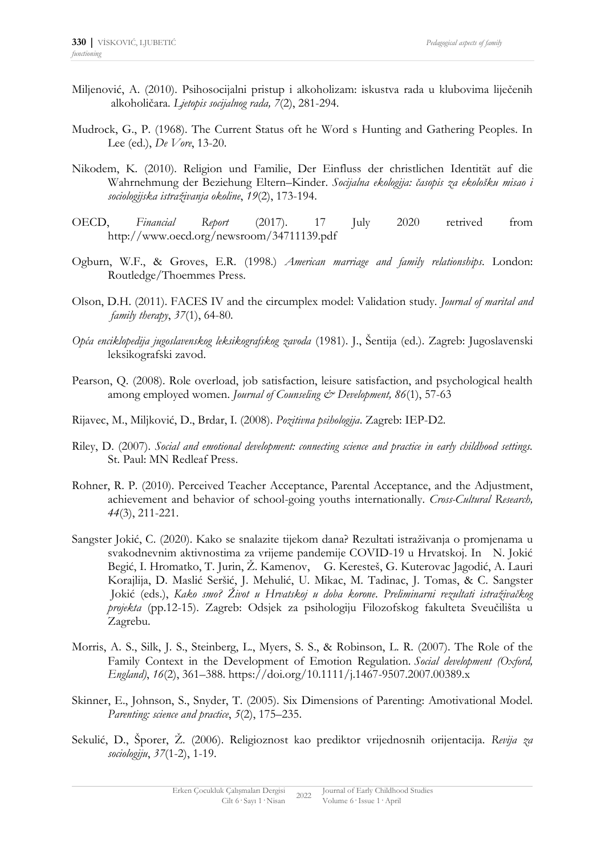- Miljenović, A. (2010). Psihosocijalni pristup i alkoholizam: iskustva rada u klubovima liječenih alkoholičara. *Ljetopis socijalnog rada, 7*(2), 281-294.
- Mudrock, G., P. (1968). The Current Status oft he Word s Hunting and Gathering Peoples. In Lee (ed.), *De Vore*, 13-20.
- Nikodem, K. (2010). Religion und Familie, Der Einfluss der christlichen Identität auf die Wahrnehmung der Beziehung Eltern–Kinder. *Socijalna ekologija: časopis za ekološku misao i sociologijska istraživanja okoline*, *19*(2), 173-194.
- OECD, *Financial Report* (2017). 17 July 2020 retrived from http://www.oecd.org/newsroom/34711139.pdf
- Ogburn, W.F., & Groves, E.R. (1998.) *American marriage and family relationships*. London: Routledge/Thoemmes Press.
- Olson, D.H. (2011). FACES IV and the circumplex model: Validation study. *Journal of marital and family therapy*, *37*(1), 64-80.
- *Opća enciklopedija jugoslavenskog leksikografskog zavoda* (1981). J., Šentija (ed.). Zagreb: Jugoslavenski leksikografski zavod.
- Pearson, Q. (2008). Role overload, job satisfaction, leisure satisfaction, and psychological health among employed women. *Journal of Counseling & Development*, 86(1), 57-63
- Rijavec, M., Miljković, D., Brdar, I. (2008). *Pozitivna psihologija*. Zagreb: IEP-D2.
- Riley, D. (2007). *Social and emotional development: connecting science and practice in early childhood settings.* St. Paul: MN Redleaf Press.
- Rohner, R. P. (2010). Perceived Teacher Acceptance, Parental Acceptance, and the Adjustment, achievement and behavior of school-going youths internationally. *Cross-Cultural Research, 44*(3), 211-221.
- Sangster Jokić, C. (2020). Kako se snalazite tijekom dana? Rezultati istraživanja o promjenama u svakodnevnim aktivnostima za vrijeme pandemije COVID-19 u Hrvatskoj. In N. Jokić Begić, I. Hromatko, T. Jurin, Ž. Kamenov, G. Keresteš, G. Kuterovac Jagodić, A. Lauri Korajlija, D. Maslić Seršić, J. Mehulić, U. Mikac, M. Tadinac, J. Tomas, & C. Sangster Jokić (eds.), *Kako smo? Život u Hrvatskoj u doba korone*. *Preliminarni rezultati istraživačkog projekta* (pp.12-15). Zagreb: Odsjek za psihologiju Filozofskog fakulteta Sveučilišta u Zagrebu.
- Morris, A. S., Silk, J. S., Steinberg, L., Myers, S. S., & Robinson, L. R. (2007). The Role of the Family Context in the Development of Emotion Regulation. *Social development (Oxford, England)*, *16*(2), 361–388. https://doi.org/10.1111/j.1467-9507.2007.00389.x
- Skinner, E., Johnson, S., Snyder, T. (2005). Six Dimensions of Parenting: Amotivational Model. *Parenting: science and practice*, *5*(2), 175–235.
- Sekulić, D., Šporer, Ž. (2006). Religioznost kao prediktor vrijednosnih orijentacija. *Revija za sociologiju*, *37*(1-2), 1-19.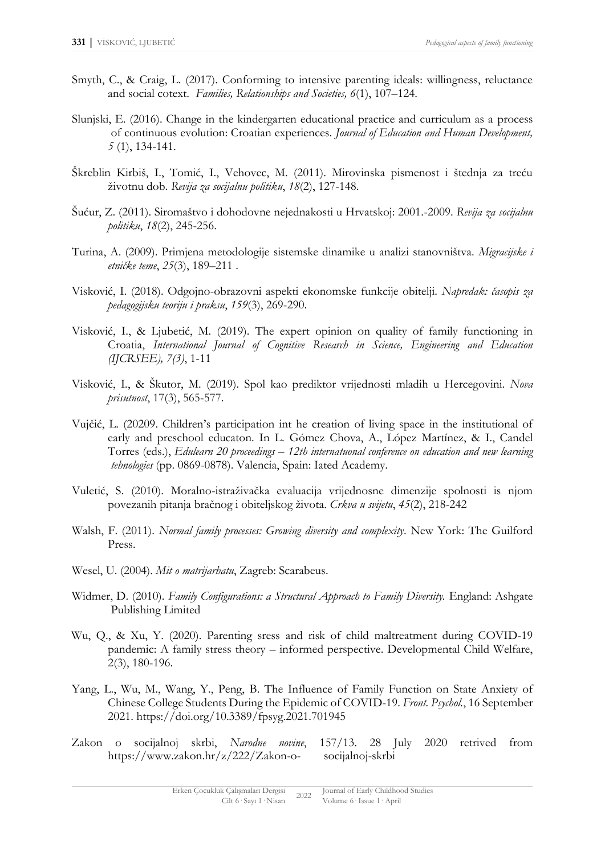- Smyth, C., & Craig, L. (2017). Conforming to intensive parenting ideals: willingness, reluctance and social cotext. *Families, Relationships and Societies, 6*(1), 107–124.
- Slunjski, E. (2016). Change in the kindergarten educational practice and curriculum as a process of continuous evolution: Croatian experiences. *Journal of Education and Human Development, 5* (1), 134-141.
- Škreblin Kirbiš, I., Tomić, I., Vehovec, M. (2011). Mirovinska pismenost i štednja za treću životnu dob. *Revija za socijalnu politiku*, *18*(2), 127-148.
- Šućur, Z. (2011). Siromaštvo i dohodovne nejednakosti u Hrvatskoj: 2001.-2009. *Revija za socijalnu politiku*, *18*(2), 245-256.
- Turina, A. (2009). Primjena metodologije sistemske dinamike u analizi stanovništva. *Migracijske i etničke teme*, *25*(3), 189–211 .
- Visković, I. (2018). Odgojno-obrazovni aspekti ekonomske funkcije obitelji. *Napredak: časopis za pedagogijsku teoriju i praksu*, *159*(3), 269-290.
- Visković, I., & Ljubetić, M. (2019). The expert opinion on quality of family functioning in Croatia, *International Journal of Cognitive Research in Science, Engineering and Education (IJCRSEE), 7(3)*, 1-11
- Visković, I*.*, & Škutor, M. (2019). Spol kao prediktor vrijednosti mladih u Hercegovini. *Nova prisutnost*, 17(3), 565-577.
- Vujčić, L. (20209. Children's participation int he creation of living space in the institutional of early and preschool educaton. In L. Gómez Chova, A., López Martínez, & I., Candel Torres (eds.), *Edulearn 20 proceedings – 12th internatuonal conference on education and new learning tehnologies* (pp. 0869-0878). Valencia, Spain: Iated Academy.
- Vuletić, S. (2010). Moralno-istraživačka evaluacija vrijednosne dimenzije spolnosti is njom povezanih pitanja bračnog i obiteljskog života. *Crkva u svijetu*, *45*(2), 218-242
- Walsh, F. (2011). *Normal family processes: Growing diversity and complexity*. New York: The Guilford Press.
- Wesel, U. (2004). *Mit o matrijarhatu*, Zagreb: Scarabeus.
- Widmer, D. (2010). *Family Configurations: a Structural Approach to Family Diversity.* England: Ashgate Publishing Limited
- Wu, Q., & Xu, Y. (2020). Parenting sress and risk of child maltreatment during COVID-19 pandemic: A family stress theory – informed perspective. Developmental Child Welfare, 2(3), 180-196.
- Yang, L., Wu, M., Wang, Y., Peng, B. The Influence of Family Function on State Anxiety of Chinese College Students During the Epidemic of COVID-19. *Front. Psychol.*, 16 September 2021. <https://doi.org/10.3389/fpsyg.2021.701945>
- Zakon o socijalnoj skrbi, *Narodne novine*, 157/13. 28 July 2020 retrived from https://www.zakon.hr/z/222/Zakon-o- socijalnoj-skrbi